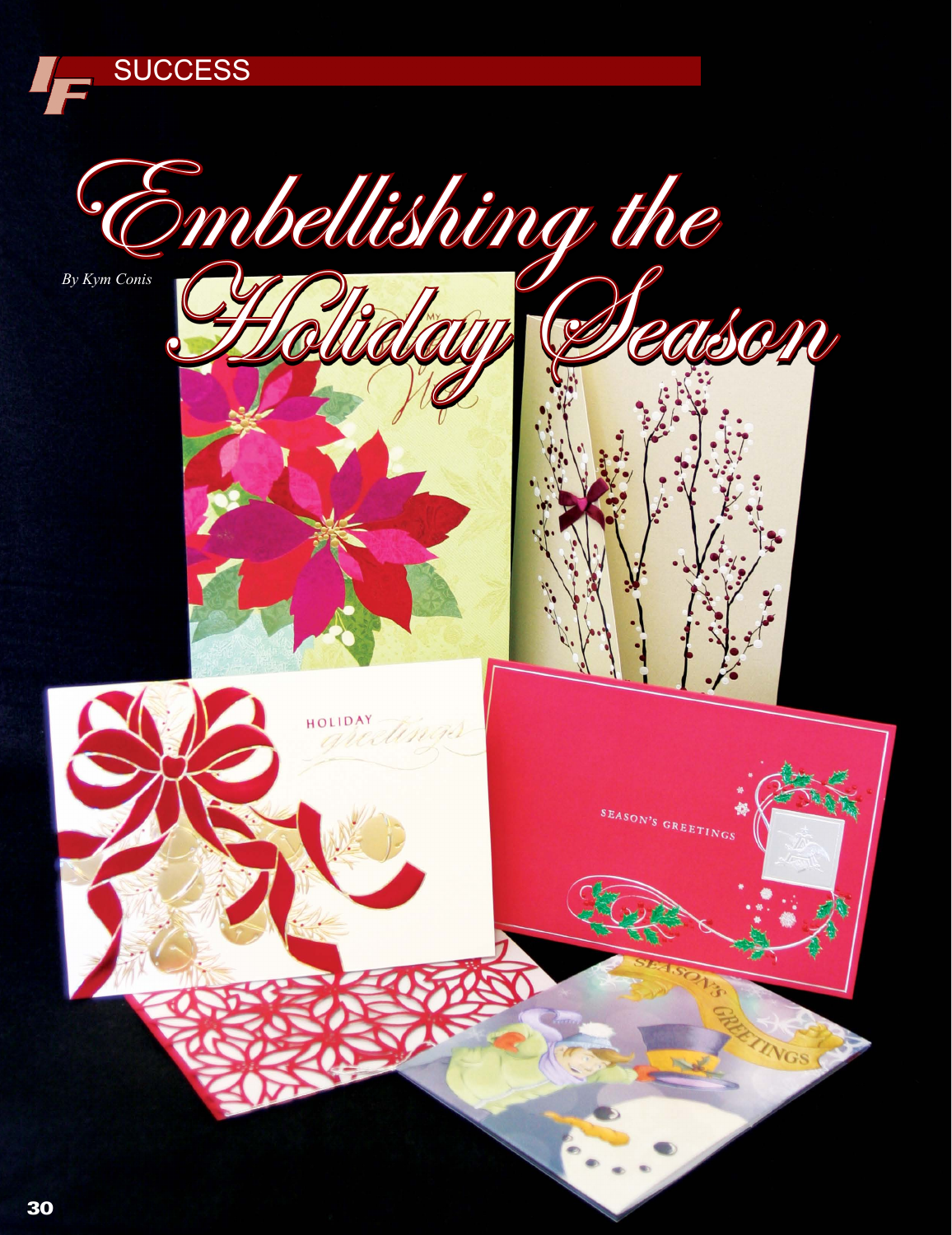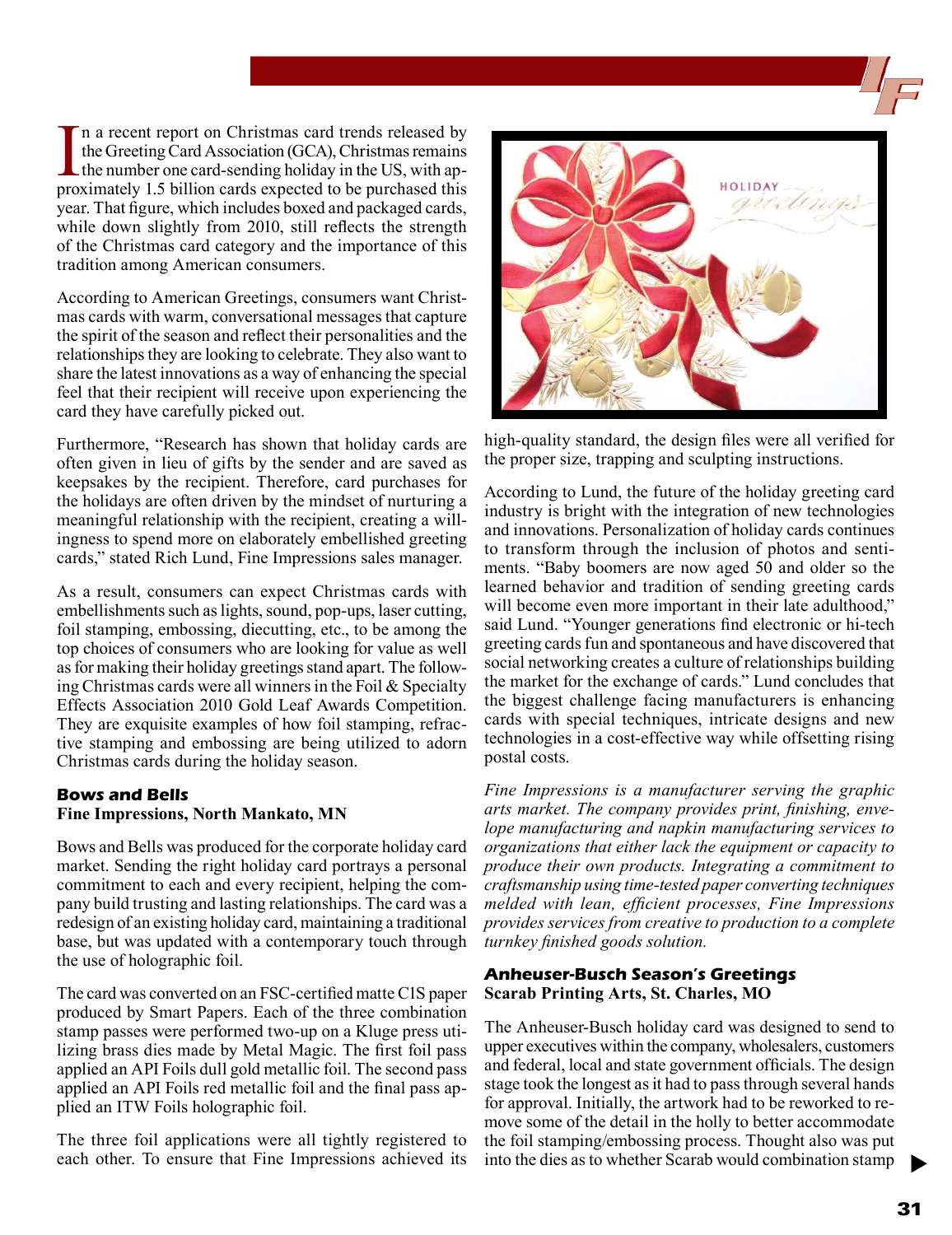In a recent report on Christmas card trends released by the Greeting Card Association (GCA), Christmas remains the number one card-sending holiday in the US, with approximately 1.5 billion cards expected to be purchased th n a recent report on Christmas card trends released by the Greeting Card Association (GCA), Christmas remains  $\Box$  the number one card-sending holiday in the US, with apyear. That figure, which includes boxed and packaged cards, while down slightly from 2010, still reflects the strength of the Christmas card category and the importance of this tradition among American consumers.

According to American Greetings, consumers want Christmas cards with warm, conversational messages that capture the spirit of the season and reflect their personalities and the relationships they are looking to celebrate. They also want to share the latest innovations as a way of enhancing the special feel that their recipient will receive upon experiencing the card they have carefully picked out.

Furthermore, "Research has shown that holiday cards are often given in lieu of gifts by the sender and are saved as keepsakes by the recipient. Therefore, card purchases for the holidays are often driven by the mindset of nurturing a meaningful relationship with the recipient, creating a willingness to spend more on elaborately embellished greeting cards," stated Rich Lund, Fine Impressions sales manager.

As a result, consumers can expect Christmas cards with embellishments such as lights, sound, pop-ups, laser cutting, foil stamping, embossing, diecutting, etc., to be among the top choices of consumers who are looking for value as well as for making their holiday greetings stand apart. The following Christmas cards were all winners in the Foil  $\&$  Specialty Effects Association 2010 Gold Leaf Awards Competition. They are exquisite examples of how foil stamping, refractive stamping and embossing are being utilized to adorn Christmas cards during the holiday season.

## **Bows and Bells Fine Impressions, North Mankato, MN**

Bows and Bells was produced for the corporate holiday card market. Sending the right holiday card portrays a personal commitment to each and every recipient, helping the company build trusting and lasting relationships. The card was a redesign of an existing holiday card, maintaining a traditional base, but was updated with a contemporary touch through the use of holographic foil.

The card was converted on an FSC-certified matte C1S paper produced by Smart Papers. Each of the three combination stamp passes were performed two-up on a Kluge press utilizing brass dies made by Metal Magic. The first foil pass applied an API Foils dull gold metallic foil. The second pass applied an API Foils red metallic foil and the final pass applied an ITW Foils holographic foil.

The three foil applications were all tightly registered to each other. To ensure that Fine Impressions achieved its



high-quality standard, the design files were all verified for the proper size, trapping and sculpting instructions.

According to Lund, the future of the holiday greeting card industry is bright with the integration of new technologies and innovations. Personalization of holiday cards continues to transform through the inclusion of photos and sentiments. "Baby boomers are now aged 50 and older so the learned behavior and tradition of sending greeting cards will become even more important in their late adulthood," said Lund. "Younger generations find electronic or hi-tech greeting cards fun and spontaneous and have discovered that social networking creates a culture of relationships building the market for the exchange of cards." Lund concludes that the biggest challenge facing manufacturers is enhancing cards with special techniques, intricate designs and new technologies in a cost-effective way while offsetting rising postal costs.

*Fine Impressions is a manufacturer serving the graphic arts market. The company provides print, finishing, envelope manufacturing and napkin manufacturing services to organizations that either lack the equipment or capacity to produce their own products. Integrating a commitment to craftsmanship using time-tested paper converting techniques melded with lean, efficient processes, Fine Impressions provides services from creative to production to a complete turnkey finished goods solution.*

## **Anheuser-Busch Season's Greetings Scarab Printing Arts, St. Charles, MO**

The Anheuser-Busch holiday card was designed to send to upper executives within the company, wholesalers, customers and federal, local and state government officials. The design stage took the longest as it had to pass through several hands for approval. Initially, the artwork had to be reworked to remove some of the detail in the holly to better accommodate the foil stamping/embossing process. Thought also was put into the dies as to whether Scarab would combination stamp

 $\blacktriangleright$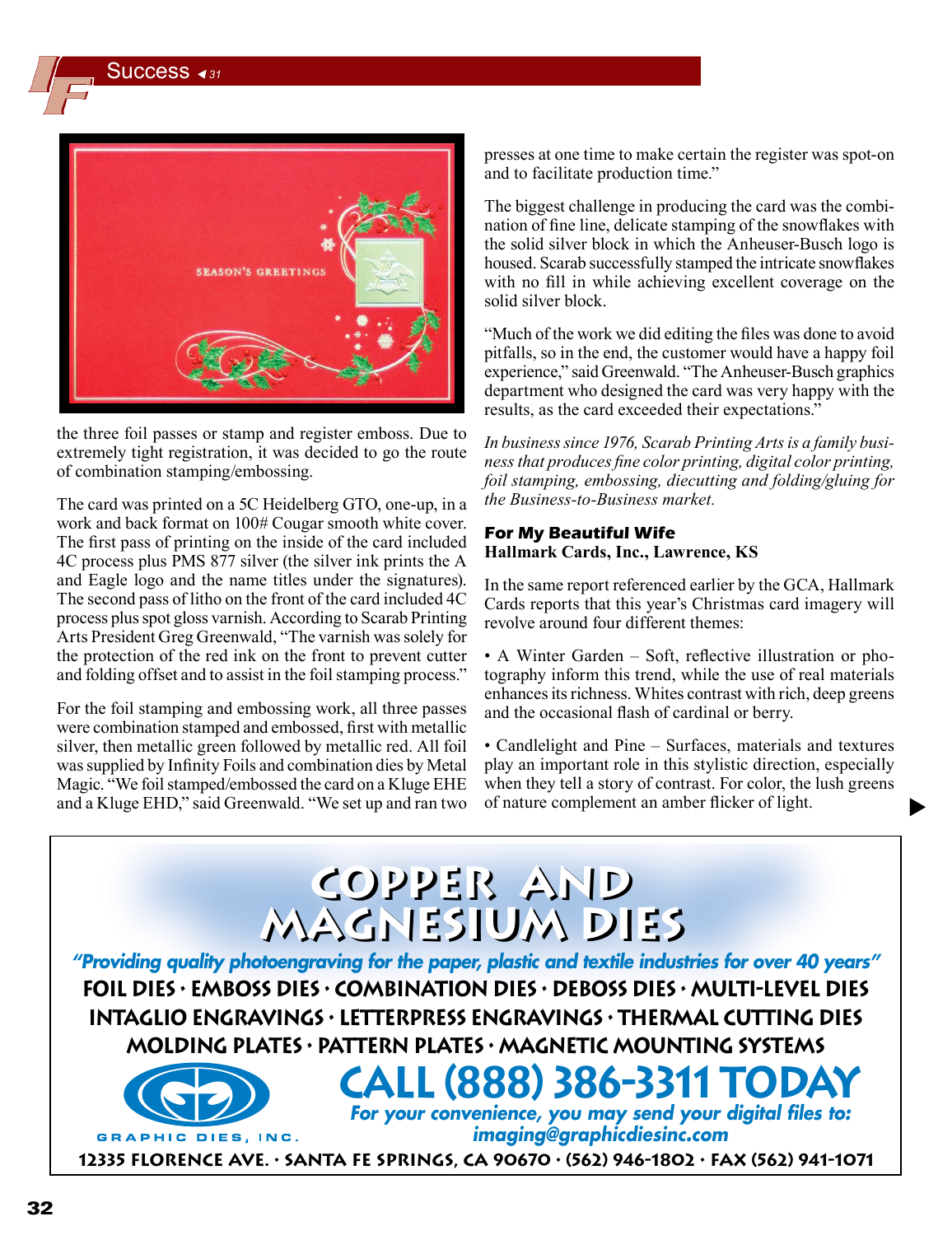Success *<sup>31</sup>*



the three foil passes or stamp and register emboss. Due to extremely tight registration, it was decided to go the route of combination stamping/embossing.

The card was printed on a 5C Heidelberg GTO, one-up, in a work and back format on 100# Cougar smooth white cover. The first pass of printing on the inside of the card included 4C process plus PMS 877 silver (the silver ink prints the A and Eagle logo and the name titles under the signatures). The second pass of litho on the front of the card included 4C process plus spot gloss varnish. According to Scarab Printing Arts President Greg Greenwald, "The varnish was solely for the protection of the red ink on the front to prevent cutter and folding offset and to assist in the foil stamping process."

For the foil stamping and embossing work, all three passes were combination stamped and embossed, first with metallic silver, then metallic green followed by metallic red. All foil was supplied by Infinity Foils and combination dies by Metal Magic. "We foil stamped/embossed the card on a Kluge EHE and a Kluge EHD," said Greenwald. "We set up and ran two presses at one time to make certain the register was spot-on and to facilitate production time."

The biggest challenge in producing the card was the combination of fine line, delicate stamping of the snowflakes with the solid silver block in which the Anheuser-Busch logo is housed. Scarab successfully stamped the intricate snowflakes with no fill in while achieving excellent coverage on the solid silver block.

"Much of the work we did editing the files was done to avoid pitfalls, so in the end, the customer would have a happy foil experience," said Greenwald. "The Anheuser-Busch graphics department who designed the card was very happy with the results, as the card exceeded their expectations."

*In business since 1976, Scarab Printing Arts is a family business that produces fine color printing, digital color printing, foil stamping, embossing, diecutting and folding/gluing for the Business-to-Business market.*

## **For My Beautiful Wife Hallmark Cards, Inc., Lawrence, KS**

In the same report referenced earlier by the GCA, Hallmark Cards reports that this year's Christmas card imagery will revolve around four different themes:

• A Winter Garden – Soft, reflective illustration or photography inform this trend, while the use of real materials enhances its richness. Whites contrast with rich, deep greens and the occasional flash of cardinal or berry.

• Candlelight and Pine – Surfaces, materials and textures play an important role in this stylistic direction, especially when they tell a story of contrast. For color, the lush greens of nature complement an amber flicker of light.

 $\blacktriangleright$